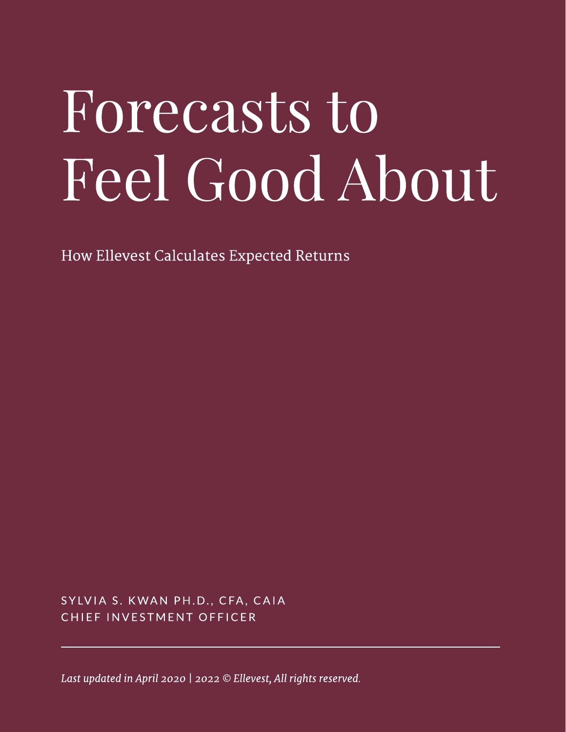# Forecasts to Feel Good About

How Ellevest Calculates Expected Returns

SYLVIA S. KWAN PH.D., CFA, CAIA CHIEF INVESTMENT OFFICER

Last updated in April 2020 | 2022 © Ellevest, All rights reserved.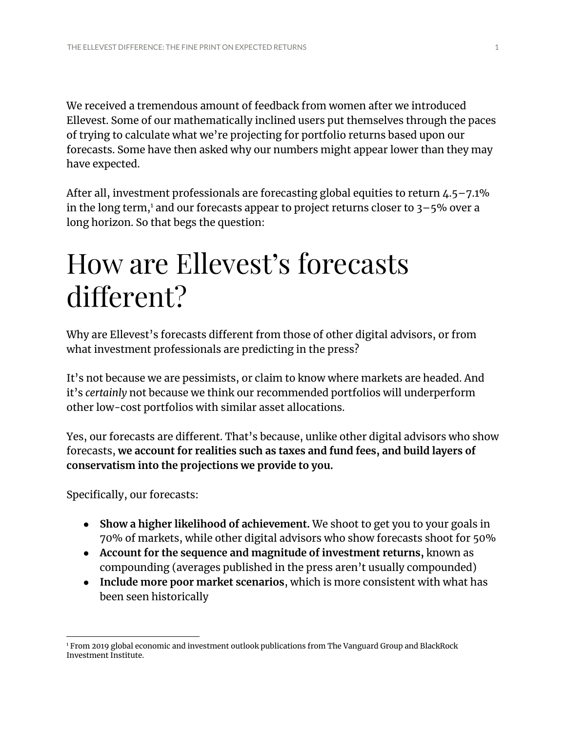We received a tremendous amount of feedback from women after we introduced Ellevest. Some of our mathematically inclined users put themselves through the paces of trying to calculate what we're projecting for portfolio returns based upon our forecasts. Some have then asked why our numbers might appear lower than they may have expected.

After all, investment professionals are forecasting global equities to return 4.5–7.1% in the long term, $^1$  and our forecasts appear to project returns closer to 3–5% over a long horizon. So that begs the question:

# How are Ellevest's forecasts different?

Why are Ellevest's forecasts different from those of other digital advisors, or from what investment professionals are predicting in the press?

It's not because we are pessimists, or claim to know where markets are headed. And it's *certainly* not because we think our recommended portfolios will underperform other low-cost portfolios with similar asset allocations.

Yes, our forecasts are different. That's because, unlike other digital advisors who show forecasts, **we account for realities such as taxes and fund fees, and build layers of conservatism into the projections we provide to you.**

Specifically, our forecasts:

- **Show a higher likelihood of achievement.** We shoot to get you to your goals in 70% of markets, while other digital advisors who show forecasts shoot for 50%
- **Account for the sequence and magnitude of investment returns,** known as compounding (averages published in the press aren't usually compounded)
- **Include more poor market scenarios**, which is more consistent with what has been seen historically

<sup>1</sup> From 2019 global economic and investment outlook publications from The Vanguard Group and BlackRock Investment Institute.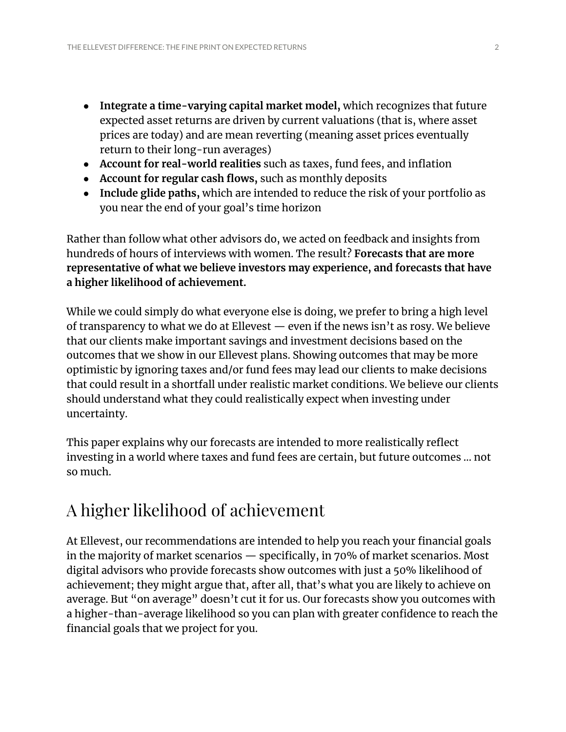- **Integrate a time-varying capital market model,** which recognizes that future expected asset returns are driven by current valuations (that is, where asset prices are today) and are mean reverting (meaning asset prices eventually return to their long-run averages)
- **Account for real-world realities** such as taxes, fund fees, and inflation
- **Account for regular cash flows,** such as monthly deposits
- **Include glide paths,** which are intended to reduce the risk of your portfolio as you near the end of your goal's time horizon

Rather than follow what other advisors do, we acted on feedback and insights from hundreds of hours of interviews with women. The result? **Forecasts that are more representative of what we believe investors may experience, and forecasts that have a higher likelihood of achievement.**

While we could simply do what everyone else is doing, we prefer to bring a high level of transparency to what we do at Ellevest  $-$  even if the news isn't as rosy. We believe that our clients make important savings and investment decisions based on the outcomes that we show in our Ellevest plans. Showing outcomes that may be more optimistic by ignoring taxes and/or fund fees may lead our clients to make decisions that could result in a shortfall under realistic market conditions. We believe our clients should understand what they could realistically expect when investing under uncertainty.

This paper explains why our forecasts are intended to more realistically reflect investing in a world where taxes and fund fees are certain, but future outcomes … not so much.

## A higher likelihood of achievement

At Ellevest, our recommendations are intended to help you reach your financial goals in the majority of market scenarios — specifically, in 70% of market scenarios. Most digital advisors who provide forecasts show outcomes with just a 50% likelihood of achievement; they might argue that, after all, that's what you are likely to achieve on average. But "on average" doesn't cut it for us. Our forecasts show you outcomes with a higher-than-average likelihood so you can plan with greater confidence to reach the financial goals that we project for you.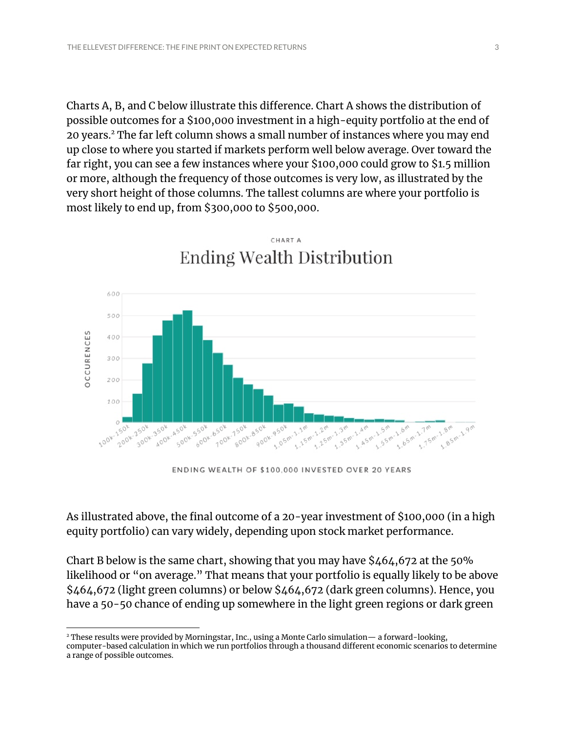Charts A, B, and C below illustrate this difference. Chart A shows the distribution of possible outcomes for a \$100,000 investment in a high-equity portfolio at the end of 20 years.<sup>2</sup> The far left column shows a small number of instances where you may end up close to where you started if markets perform well below average. Over toward the far right, you can see a few instances where your \$100,000 could grow to \$1.5 million or more, although the frequency of those outcomes is very low, as illustrated by the very short height of those columns. The tallest columns are where your portfolio is most likely to end up, from \$300,000 to \$500,000.



CHART A **Ending Wealth Distribution** 

ENDING WEALTH OF \$100,000 INVESTED OVER 20 YEARS

As illustrated above, the final outcome of a 20-year investment of \$100,000 (in a high equity portfolio) can vary widely, depending upon stock market performance.

Chart B below is the same chart, showing that you may have \$464,672 at the 50% likelihood or "on average." That means that your portfolio is equally likely to be above \$464,672 (light green columns) or below \$464,672 (dark green columns). Hence, you have a 50-50 chance of ending up somewhere in the light green regions or dark green

<sup>2</sup> These results were provided by Morningstar, Inc., using a Monte Carlo simulation— a forward-looking, computer-based calculation in which we run portfolios through a thousand different economic scenarios to determine a range of possible outcomes.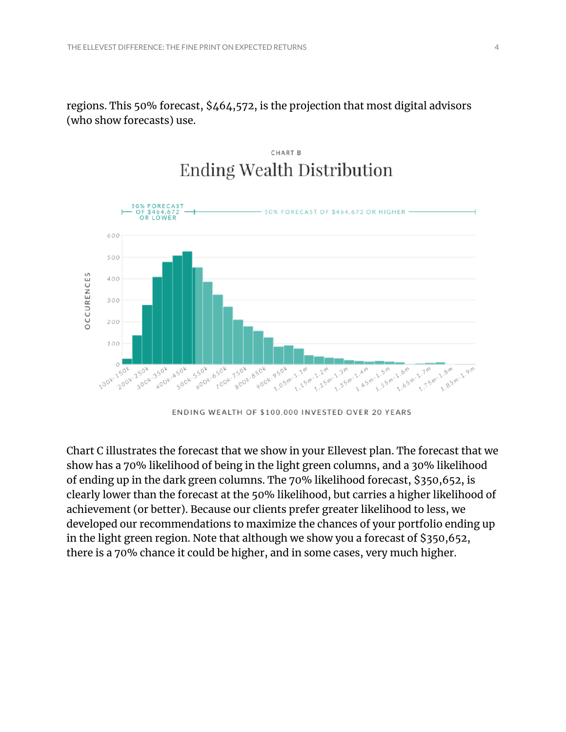regions. This 50% forecast, \$464,572, is the projection that most digital advisors (who show forecasts) use.



#### CHART B **Ending Wealth Distribution**

ENDING WEALTH OF \$100,000 INVESTED OVER 20 YEARS

Chart C illustrates the forecast that we show in your Ellevest plan. The forecast that we show has a 70% likelihood of being in the light green columns, and a 30% likelihood of ending up in the dark green columns. The 70% likelihood forecast, \$350,652, is clearly lower than the forecast at the 50% likelihood, but carries a higher likelihood of achievement (or better). Because our clients prefer greater likelihood to less, we developed our recommendations to maximize the chances of your portfolio ending up in the light green region. Note that although we show you a forecast of \$350,652, there is a 70% chance it could be higher, and in some cases, very much higher.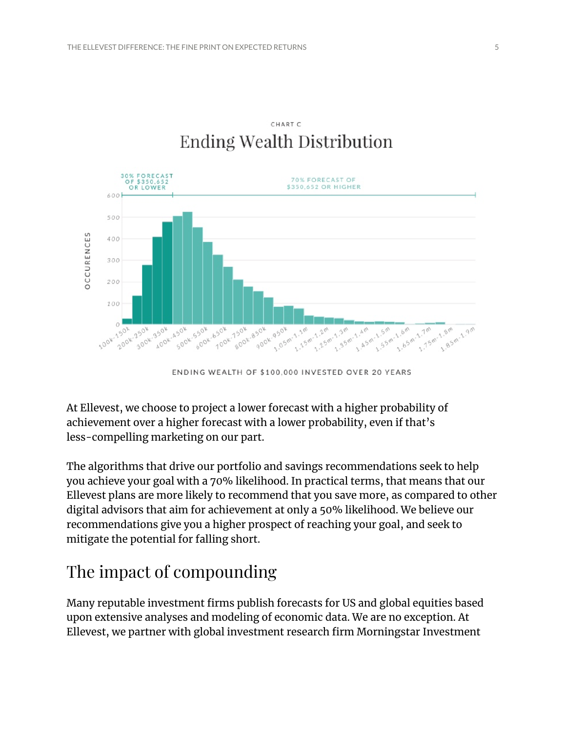

CHART C **Ending Wealth Distribution** 

ENDING WEALTH OF \$100,000 INVESTED OVER 20 YEARS

At Ellevest, we choose to project a lower forecast with a higher probability of achievement over a higher forecast with a lower probability, even if that's less-compelling marketing on our part.

The algorithms that drive our portfolio and savings recommendations seek to help you achieve your goal with a 70% likelihood. In practical terms, that means that our Ellevest plans are more likely to recommend that you save more, as compared to other digital advisors that aim for achievement at only a 50% likelihood. We believe our recommendations give you a higher prospect of reaching your goal, and seek to mitigate the potential for falling short.

## The impact of compounding

Many reputable investment firms publish forecasts for US and global equities based upon extensive analyses and modeling of economic data. We are no exception. At Ellevest, we partner with global investment research firm Morningstar Investment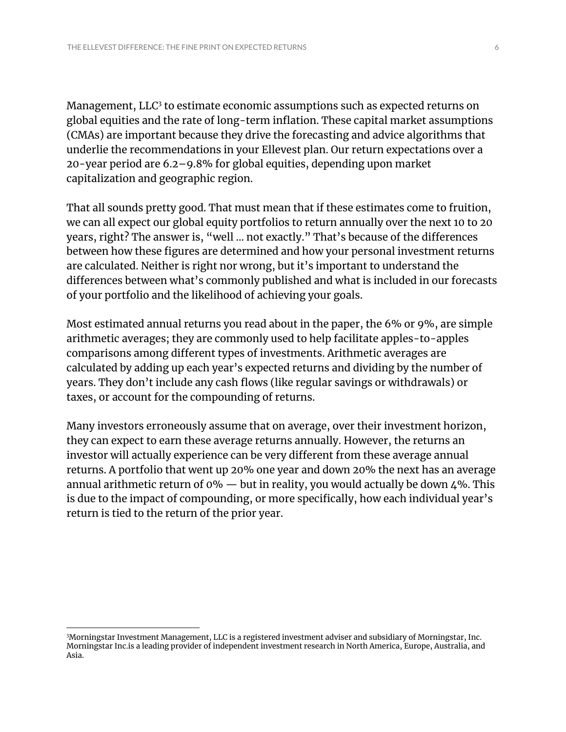Management,  $LLC<sup>3</sup>$  to estimate economic assumptions such as expected returns on global equities and the rate of long-term inflation. These capital market assumptions (CMAs) are important because they drive the forecasting and advice algorithms that underlie the recommendations in your Ellevest plan. Our return expectations over a 20-year period are 6.2–9.8% for global equities, depending upon market capitalization and geographic region.

That all sounds pretty good. That must mean that if these estimates come to fruition, we can all expect our global equity portfolios to return annually over the next 10 to 20 years, right? The answer is, "well … not exactly." That's because of the differences between how these figures are determined and how your personal investment returns are calculated. Neither is right nor wrong, but it's important to understand the differences between what's commonly published and what is included in our forecasts of your portfolio and the likelihood of achieving your goals.

Most estimated annual returns you read about in the paper, the 6% or 9%, are simple arithmetic averages; they are commonly used to help facilitate apples-to-apples comparisons among different types of investments. Arithmetic averages are calculated by adding up each year's expected returns and dividing by the number of years. They don't include any cash flows (like regular savings or withdrawals) or taxes, or account for the compounding of returns.

Many investors erroneously assume that on average, over their investment horizon, they can expect to earn these average returns annually. However, the returns an investor will actually experience can be very different from these average annual returns. A portfolio that went up 20% one year and down 20% the next has an average annual arithmetic return of 0%  $-$  but in reality, you would actually be down 4%. This is due to the impact of compounding, or more specifically, how each individual year's return is tied to the return of the prior year.

<sup>3</sup>Morningstar Investment Management, LLC is a registered investment adviser and subsidiary of Morningstar, Inc. Morningstar Inc.is a leading provider of independent investment research in North America, Europe, Australia, and Asia.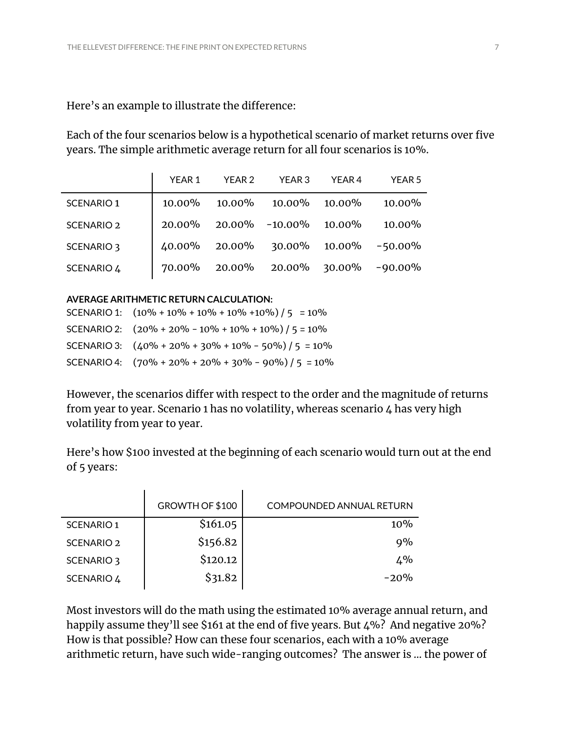#### Here's an example to illustrate the difference:

Each of the four scenarios below is a hypothetical scenario of market returns over five years. The simple arithmetic average return for all four scenarios is 10%.

|                       | YEAR 1 | YEAR 2 | YEAR 3                              | YEAR 4    | <b>YEAR 5</b> |
|-----------------------|--------|--------|-------------------------------------|-----------|---------------|
| <b>SCENARIO 1</b>     | 10.00% |        | $10.00\%$ $10.00\%$                 | $10.00\%$ | $10.00\%$     |
| <b>SCENARIO 2</b>     |        |        | 20.00% 20.00% -10.00%               | 10.00%    | 10.00%        |
| SCENARIO <sub>3</sub> |        |        | 40.00% 20.00% 30.00% 10.00% -50.00% |           |               |
| SCENARIO 4            |        |        | 70.00% 20.00% 20.00% 30.00%         |           | $-90.00\%$    |

#### **AVERAGE ARITHMETIC RETURN CALCULATION:**

| SCENARIO 1: $(10\% + 10\% + 10\% + 10\% + 10\%) / 5 = 10\%$ |
|-------------------------------------------------------------|
| SCENARIO 2: $(20\% + 20\% - 10\% + 10\% + 10\%) / 5 = 10\%$ |
| SCENARIO 3: $(40\% + 20\% + 30\% + 10\% - 50\%) / 5 = 10\%$ |
| SCENARIO 4: $(70\% + 20\% + 20\% + 30\% - 90\%) / 5 = 10\%$ |

However, the scenarios differ with respect to the order and the magnitude of returns from year to year. Scenario 1 has no volatility, whereas scenario 4 has very high volatility from year to year.

Here's how \$100 invested at the beginning of each scenario would turn out at the end of 5 years:

|                   | GROWTH OF \$100 | <b>COMPOUNDED ANNUAL RETURN</b> |
|-------------------|-----------------|---------------------------------|
| <b>SCENARIO 1</b> | \$161.05        | 10%                             |
| <b>SCENARIO 2</b> | \$156.82        | $9\%$                           |
| SCENARIO 3        | \$120.12        | $4\%$                           |
| SCENARIO 4        | \$31.82         | $-20%$                          |
|                   |                 |                                 |

Most investors will do the math using the estimated 10% average annual return, and happily assume they'll see \$161 at the end of five years. But 4%? And negative 20%? How is that possible? How can these four scenarios, each with a 10% average arithmetic return, have such wide-ranging outcomes? The answer is … the power of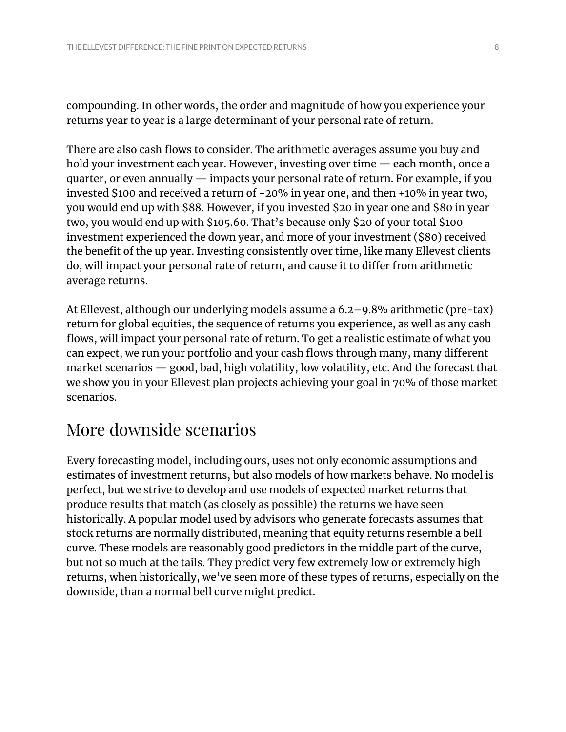compounding. In other words, the order and magnitude of how you experience your returns year to year is a large determinant of your personal rate of return.

There are also cash flows to consider. The arithmetic averages assume you buy and hold your investment each year. However, investing over time — each month, once a quarter, or even annually — impacts your personal rate of return. For example, if you invested \$100 and received a return of -20% in year one, and then +10% in year two, you would end up with \$88. However, if you invested \$20 in year one and \$80 in year two, you would end up with \$105.60. That's because only \$20 of your total \$100 investment experienced the down year, and more of your investment (\$80) received the benefit of the up year. Investing consistently over time, like many Ellevest clients do, will impact your personal rate of return, and cause it to differ from arithmetic average returns.

At Ellevest, although our underlying models assume a 6.2–9.8% arithmetic (pre-tax) return for global equities, the sequence of returns you experience, as well as any cash flows, will impact your personal rate of return. To get a realistic estimate of what you can expect, we run your portfolio and your cash flows through many, many different market scenarios — good, bad, high volatility, low volatility, etc. And the forecast that we show you in your Ellevest plan projects achieving your goal in 70% of those market scenarios.

#### More downside scenarios

Every forecasting model, including ours, uses not only economic assumptions and estimates of investment returns, but also models of how markets behave. No model is perfect, but we strive to develop and use models of expected market returns that produce results that match (as closely as possible) the returns we have seen historically. A popular model used by advisors who generate forecasts assumes that stock returns are normally distributed, meaning that equity returns resemble a bell curve. These models are reasonably good predictors in the middle part of the curve, but not so much at the tails. They predict very few extremely low or extremely high returns, when historically, we've seen more of these types of returns, especially on the downside, than a normal bell curve might predict.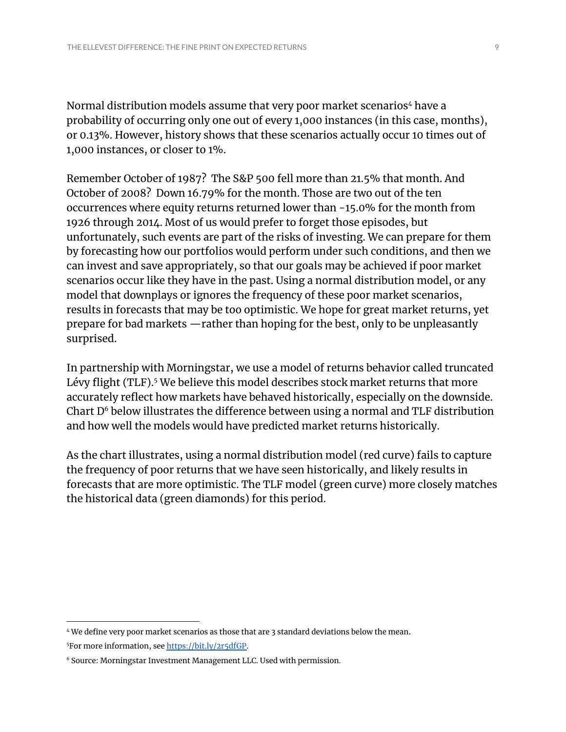Normal distribution models assume that very poor market scenarios<sup>4</sup> have a probability of occurring only one out of every 1,000 instances (in this case, months), or 0.13%. However, history shows that these scenarios actually occur 10 times out of 1,000 instances, or closer to 1%.

Remember October of 1987? The S&P 500 fell more than 21.5% that month. And October of 2008? Down 16.79% for the month. Those are two out of the ten occurrences where equity returns returned lower than -15.0% for the month from 1926 through 2014. Most of us would prefer to forget those episodes, but unfortunately, such events are part of the risks of investing. We can prepare for them by forecasting how our portfolios would perform under such conditions, and then we can invest and save appropriately, so that our goals may be achieved if poor market scenarios occur like they have in the past. Using a normal distribution model, or any model that downplays or ignores the frequency of these poor market scenarios, results in forecasts that may be too optimistic. We hope for great market returns, yet prepare for bad markets —rather than hoping for the best, only to be unpleasantly surprised.

In partnership with Morningstar, we use a model of returns behavior called truncated Lévy flight (TLF).<sup>5</sup> We believe this model describes stock market returns that more accurately reflect how markets have behaved historically, especially on the downside. Chart D $^6$  below illustrates the difference between using a normal and TLF distribution and how well the models would have predicted market returns historically.

As the chart illustrates, using a normal distribution model (red curve) fails to capture the frequency of poor returns that we have seen historically, and likely results in forecasts that are more optimistic. The TLF model (green curve) more closely matches the historical data (green diamonds) for this period.

<sup>5</sup>For more information, see [https://bit.ly/2r5dfGP.](https://bit.ly/2r5dfGP) <sup>4</sup> We define very poor market scenarios as those that are 3 standard deviations below the mean.

<sup>6</sup> Source: Morningstar Investment Management LLC. Used with permission.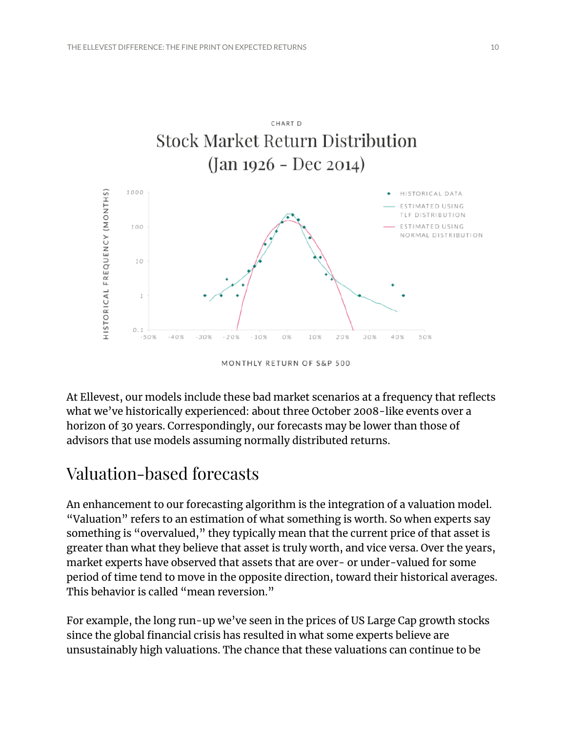

At Ellevest, our models include these bad market scenarios at a frequency that reflects what we've historically experienced: about three October 2008-like events over a horizon of 30 years. Correspondingly, our forecasts may be lower than those of advisors that use models assuming normally distributed returns.

#### Valuation-based forecasts

An enhancement to our forecasting algorithm is the integration of a valuation model. "Valuation" refers to an estimation of what something is worth. So when experts say something is "overvalued," they typically mean that the current price of that asset is greater than what they believe that asset is truly worth, and vice versa. Over the years, market experts have observed that assets that are over- or under-valued for some period of time tend to move in the opposite direction, toward their historical averages. This behavior is called "mean reversion."

For example, the long run-up we've seen in the prices of US Large Cap growth stocks since the global financial crisis has resulted in what some experts believe are unsustainably high valuations. The chance that these valuations can continue to be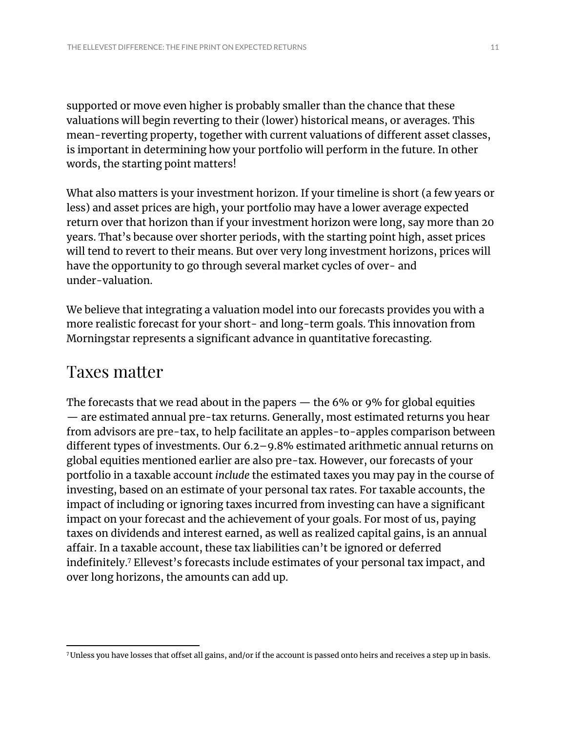supported or move even higher is probably smaller than the chance that these valuations will begin reverting to their (lower) historical means, or averages. This mean-reverting property, together with current valuations of different asset classes, is important in determining how your portfolio will perform in the future. In other words, the starting point matters!

What also matters is your investment horizon. If your timeline is short (a few years or less) and asset prices are high, your portfolio may have a lower average expected return over that horizon than if your investment horizon were long, say more than 20 years. That's because over shorter periods, with the starting point high, asset prices will tend to revert to their means. But over very long investment horizons, prices will have the opportunity to go through several market cycles of over- and under-valuation.

We believe that integrating a valuation model into our forecasts provides you with a more realistic forecast for your short- and long-term goals. This innovation from Morningstar represents a significant advance in quantitative forecasting.

#### Taxes matter

The forecasts that we read about in the papers — the 6% or 9% for global equities — are estimated annual pre-tax returns. Generally, most estimated returns you hear from advisors are pre-tax, to help facilitate an apples-to-apples comparison between different types of investments. Our 6.2–9.8% estimated arithmetic annual returns on global equities mentioned earlier are also pre-tax. However, our forecasts of your portfolio in a taxable account *include* the estimated taxes you may pay in the course of investing, based on an estimate of your personal tax rates. For taxable accounts, the impact of including or ignoring taxes incurred from investing can have a significant impact on your forecast and the achievement of your goals. For most of us, paying taxes on dividends and interest earned, as well as realized capital gains, is an annual affair. In a taxable account, these tax liabilities can't be ignored or deferred indefinitely.<sup>7</sup> Ellevest's forecasts include estimates of your personal tax impact, and over long horizons, the amounts can add up.

<sup>7</sup>Unless you have losses that offset all gains, and/or if the account is passed onto heirs and receives a step up in basis.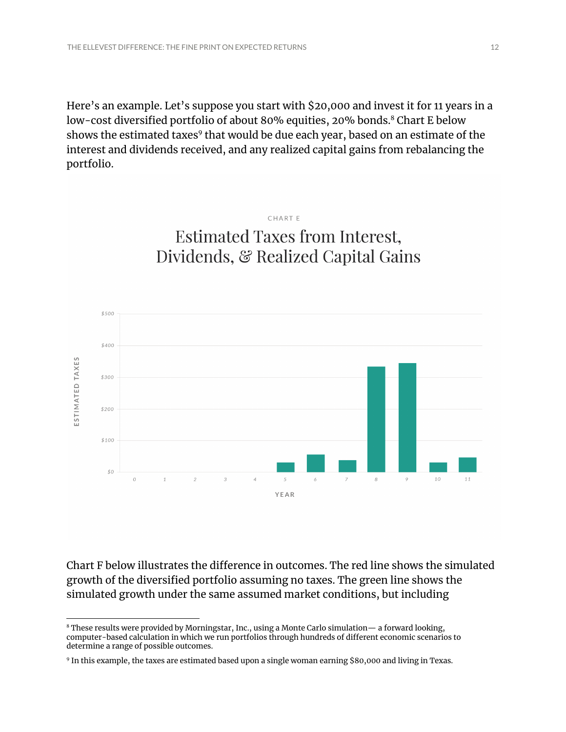Here's an example. Let's suppose you start with \$20,000 and invest it for 11 years in a low-cost diversified portfolio of about 80% equities, 20% bonds. <sup>8</sup> Chart E below shows the estimated taxes $^{\rm 9}$  that would be due each year, based on an estimate of the interest and dividends received, and any realized capital gains from rebalancing the portfolio.



CHART E



Chart F below illustrates the difference in outcomes. The red line shows the simulated growth of the diversified portfolio assuming no taxes. The green line shows the simulated growth under the same assumed market conditions, but including

<sup>8</sup> These results were provided by Morningstar, Inc., using a Monte Carlo simulation— a forward looking, computer-based calculation in which we run portfolios through hundreds of different economic scenarios to determine a range of possible outcomes.

<sup>9</sup> In this example, the taxes are estimated based upon a single woman earning \$80,000 and living in Texas.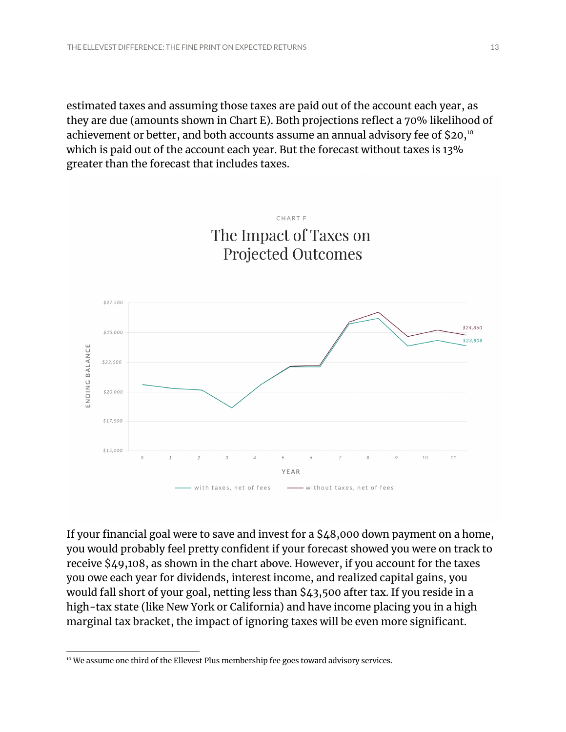estimated taxes and assuming those taxes are paid out of the account each year, as they are due (amounts shown in Chart E). Both projections reflect a 70% likelihood of achievement or better, and both accounts assume an annual advisory fee of \$20, 10 which is paid out of the account each year. But the forecast without taxes is 13% greater than the forecast that includes taxes.

CHART F



If your financial goal were to save and invest for a \$48,000 down payment on a home, you would probably feel pretty confident if your forecast showed you were on track to receive \$49,108, as shown in the chart above. However, if you account for the taxes you owe each year for dividends, interest income, and realized capital gains, you would fall short of your goal, netting less than \$43,500 after tax. If you reside in a high-tax state (like New York or California) and have income placing you in a high marginal tax bracket, the impact of ignoring taxes will be even more significant.

<sup>&</sup>lt;sup>10</sup> We assume one third of the Ellevest Plus membership fee goes toward advisory services.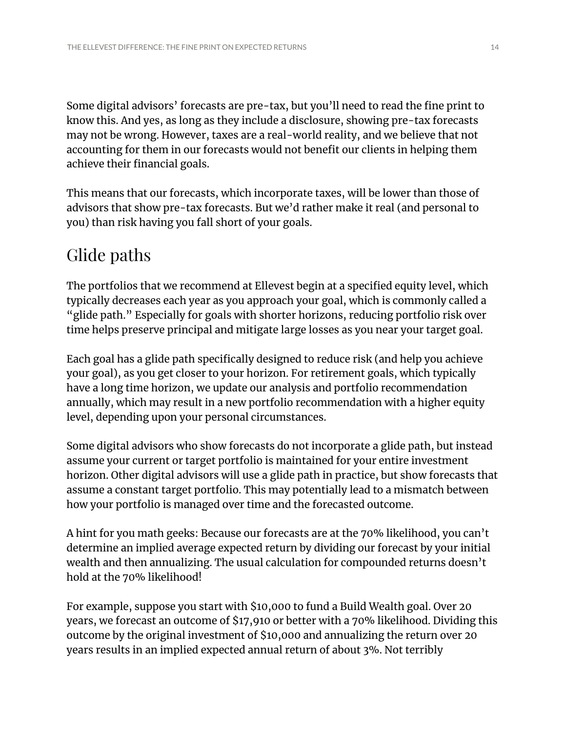Some digital advisors' forecasts are pre-tax, but you'll need to read the fine print to know this. And yes, as long as they include a disclosure, showing pre-tax forecasts may not be wrong. However, taxes are a real-world reality, and we believe that not accounting for them in our forecasts would not benefit our clients in helping them achieve their financial goals.

This means that our forecasts, which incorporate taxes, will be lower than those of advisors that show pre-tax forecasts. But we'd rather make it real (and personal to you) than risk having you fall short of your goals.

## Glide paths

The portfolios that we recommend at Ellevest begin at a specified equity level, which typically decreases each year as you approach your goal, which is commonly called a "glide path." Especially for goals with shorter horizons, reducing portfolio risk over time helps preserve principal and mitigate large losses as you near your target goal.

Each goal has a glide path specifically designed to reduce risk (and help you achieve your goal), as you get closer to your horizon. For retirement goals, which typically have a long time horizon, we update our analysis and portfolio recommendation annually, which may result in a new portfolio recommendation with a higher equity level, depending upon your personal circumstances.

Some digital advisors who show forecasts do not incorporate a glide path, but instead assume your current or target portfolio is maintained for your entire investment horizon. Other digital advisors will use a glide path in practice, but show forecasts that assume a constant target portfolio. This may potentially lead to a mismatch between how your portfolio is managed over time and the forecasted outcome.

A hint for you math geeks: Because our forecasts are at the 70% likelihood, you can't determine an implied average expected return by dividing our forecast by your initial wealth and then annualizing. The usual calculation for compounded returns doesn't hold at the 70% likelihood!

For example, suppose you start with \$10,000 to fund a Build Wealth goal. Over 20 years, we forecast an outcome of \$17,910 or better with a 70% likelihood. Dividing this outcome by the original investment of \$10,000 and annualizing the return over 20 years results in an implied expected annual return of about 3%. Not terribly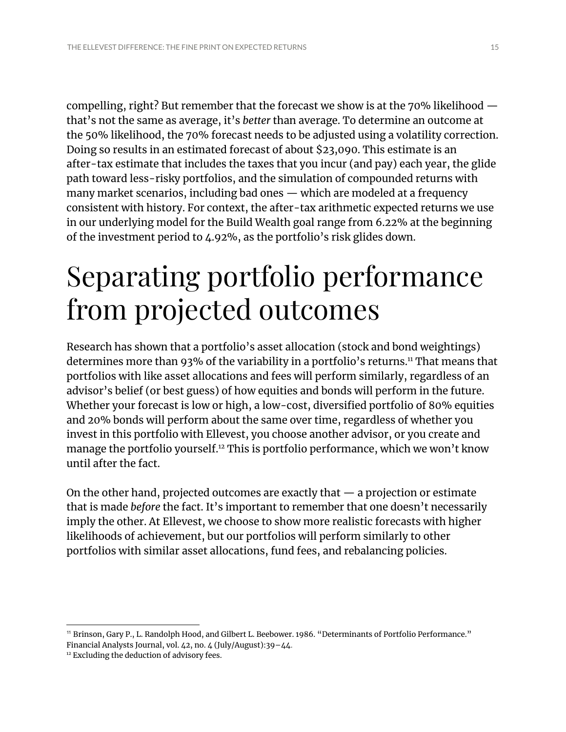compelling, right? But remember that the forecast we show is at the 70% likelihood that's not the same as average, it's *better* than average. To determine an outcome at the 50% likelihood, the 70% forecast needs to be adjusted using a volatility correction. Doing so results in an estimated forecast of about \$23,090. This estimate is an after-tax estimate that includes the taxes that you incur (and pay) each year, the glide path toward less-risky portfolios, and the simulation of compounded returns with many market scenarios, including bad ones — which are modeled at a frequency consistent with history. For context, the after-tax arithmetic expected returns we use in our underlying model for the Build Wealth goal range from 6.22% at the beginning of the investment period to 4.92%, as the portfolio's risk glides down.

# Separating portfolio performance from projected outcomes

Research has shown that a portfolio's asset allocation (stock and bond weightings) determines more than 93% of the variability in a portfolio's returns.11 That means that portfolios with like asset allocations and fees will perform similarly, regardless of an advisor's belief (or best guess) of how equities and bonds will perform in the future. Whether your forecast is low or high, a low-cost, diversified portfolio of 80% equities and 20% bonds will perform about the same over time, regardless of whether you invest in this portfolio with Ellevest, you choose another advisor, or you create and manage the portfolio yourself. <sup>12</sup> This is portfolio performance, which we won't know until after the fact.

On the other hand, projected outcomes are exactly that — a projection or estimate that is made *before* the fact. It's important to remember that one doesn't necessarily imply the other. At Ellevest, we choose to show more realistic forecasts with higher likelihoods of achievement, but our portfolios will perform similarly to other portfolios with similar asset allocations, fund fees, and rebalancing policies.

<sup>11</sup> Brinson, Gary P., L. Randolph Hood, and Gilbert L. Beebower. 1986. "Determinants of Portfolio Performance." Financial Analysts Journal, vol. 42, no. 4 (July/August):39–44.

<sup>&</sup>lt;sup>12</sup> Excluding the deduction of advisory fees.